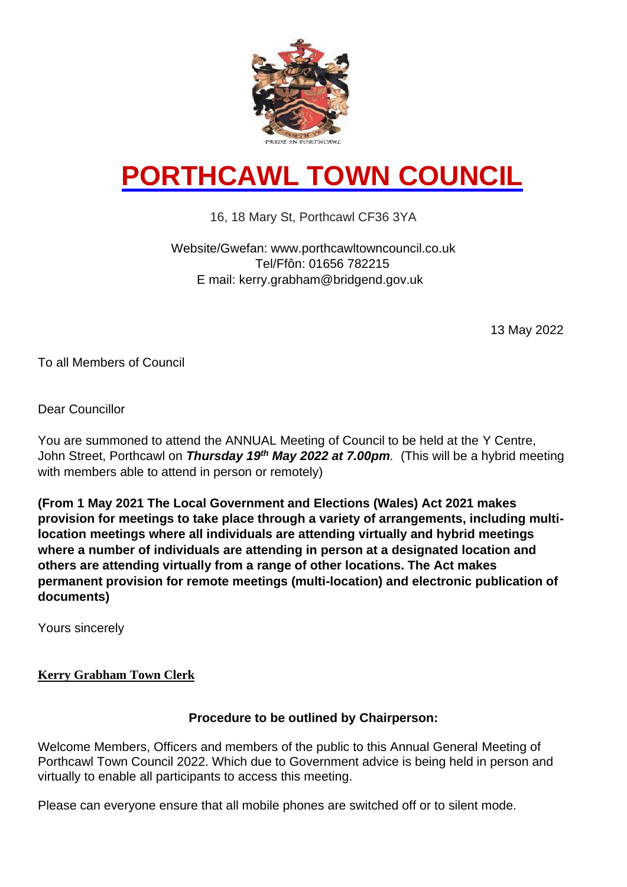

# **PORTHCAWL TOWN COUNCIL**

### 16, 18 Mary St, Porthcawl CF36 3YA

#### Website/Gwefan: www.porthcawltowncouncil.co.uk Tel/Ffôn: 01656 782215 E mail: kerry.grabham@bridgend.gov.uk

13 May 2022

To all Members of Council

Dear Councillor

You are summoned to attend the ANNUAL Meeting of Council to be held at the Y Centre, John Street, Porthcawl on *Thursday 19<sup>th</sup> May 2022 at 7.00pm.* (This will be a hybrid meeting with members able to attend in person or remotely)

**(From 1 May 2021 The Local Government and Elections (Wales) Act 2021 makes provision for meetings to take place through a variety of arrangements, including multilocation meetings where all individuals are attending virtually and hybrid meetings where a number of individuals are attending in person at a designated location and others are attending virtually from a range of other locations. The Act makes permanent provision for remote meetings (multi-location) and electronic publication of documents)**

Yours sincerely

#### **Kerry Grabham Town Clerk**

#### **Procedure to be outlined by Chairperson:**

Welcome Members, Officers and members of the public to this Annual General Meeting of Porthcawl Town Council 2022. Which due to Government advice is being held in person and virtually to enable all participants to access this meeting.

Please can everyone ensure that all mobile phones are switched off or to silent mode.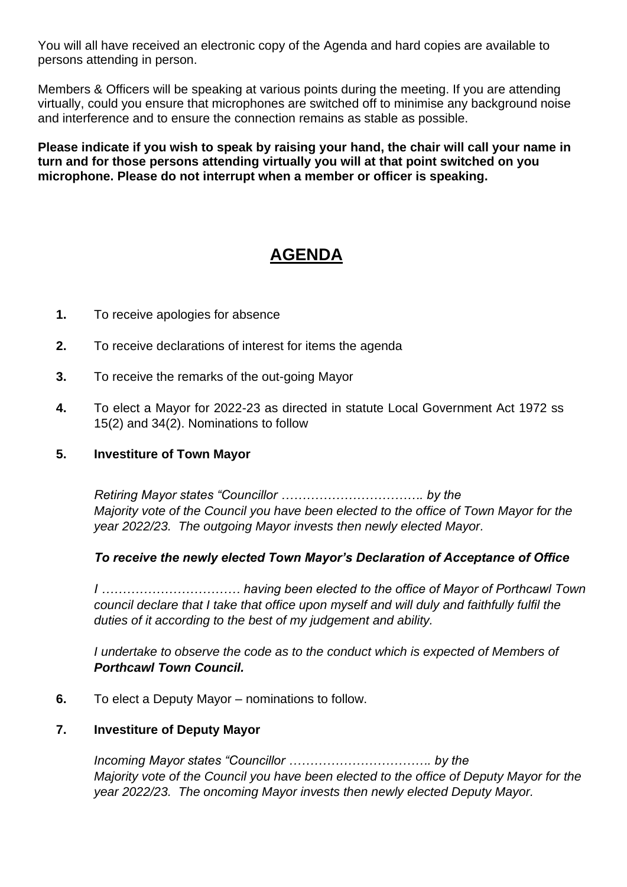You will all have received an electronic copy of the Agenda and hard copies are available to persons attending in person.

Members & Officers will be speaking at various points during the meeting. If you are attending virtually, could you ensure that microphones are switched off to minimise any background noise and interference and to ensure the connection remains as stable as possible.

**Please indicate if you wish to speak by raising your hand, the chair will call your name in turn and for those persons attending virtually you will at that point switched on you microphone. Please do not interrupt when a member or officer is speaking.** 

## **AGENDA**

- **1.** To receive apologies for absence
- **2.** To receive declarations of interest for items the agenda
- **3.** To receive the remarks of the out-going Mayor
- **4.** To elect a Mayor for 2022-23 as directed in statute Local Government Act 1972 ss 15(2) and 34(2). Nominations to follow

#### **5. Investiture of Town Mayor**

*Retiring Mayor states "Councillor ……………………………. by the Majority vote of the Council you have been elected to the office of Town Mayor for the year 2022/23. The outgoing Mayor invests then newly elected Mayor.*

#### *To receive the newly elected Town Mayor's Declaration of Acceptance of Office*

*I …………………………… having been elected to the office of Mayor of Porthcawl Town council declare that I take that office upon myself and will duly and faithfully fulfil the duties of it according to the best of my judgement and ability.*

*I undertake to observe the code as to the conduct which is expected of Members of Porthcawl Town Council.* 

**6.** To elect a Deputy Mayor – nominations to follow.

#### **7. Investiture of Deputy Mayor**

*Incoming Mayor states "Councillor ……………………………. by the Majority vote of the Council you have been elected to the office of Deputy Mayor for the year 2022/23. The oncoming Mayor invests then newly elected Deputy Mayor.*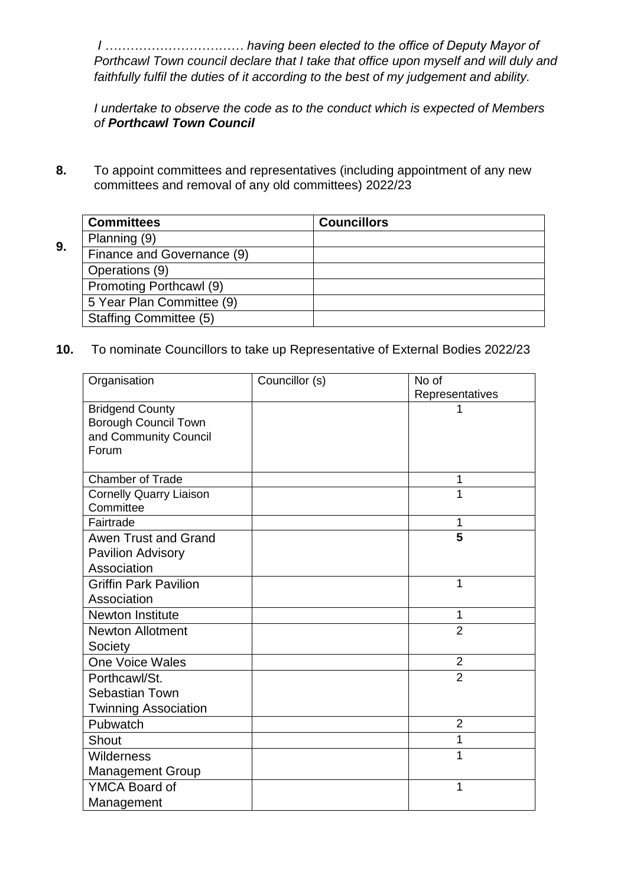*I …………………………… having been elected to the office of Deputy Mayor of Porthcawl Town council declare that I take that office upon myself and will duly and faithfully fulfil the duties of it according to the best of my judgement and ability.*

*I undertake to observe the code as to the conduct which is expected of Members of Porthcawl Town Council*

**8.** To appoint committees and representatives (including appointment of any new committees and removal of any old committees) 2022/23

|    | <b>Committees</b>             | <b>Councillors</b> |  |
|----|-------------------------------|--------------------|--|
| 9. | Planning (9)                  |                    |  |
|    | Finance and Governance (9)    |                    |  |
|    | Operations (9)                |                    |  |
|    | Promoting Porthcawl (9)       |                    |  |
|    | 5 Year Plan Committee (9)     |                    |  |
|    | <b>Staffing Committee (5)</b> |                    |  |

#### **10.** To nominate Councillors to take up Representative of External Bodies 2022/23

| Organisation                   | Councillor (s) | No of           |
|--------------------------------|----------------|-----------------|
|                                |                | Representatives |
| <b>Bridgend County</b>         |                |                 |
| <b>Borough Council Town</b>    |                |                 |
| and Community Council          |                |                 |
| Forum                          |                |                 |
| <b>Chamber of Trade</b>        |                | 1               |
| <b>Cornelly Quarry Liaison</b> |                | 1               |
| Committee                      |                |                 |
| Fairtrade                      |                | 1               |
| Awen Trust and Grand           |                | 5               |
| <b>Pavilion Advisory</b>       |                |                 |
| Association                    |                |                 |
| <b>Griffin Park Pavilion</b>   |                | 1               |
| Association                    |                |                 |
| Newton Institute               |                | 1               |
| <b>Newton Allotment</b>        |                | $\overline{2}$  |
| Society                        |                |                 |
| <b>One Voice Wales</b>         |                | $\overline{2}$  |
| Porthcawl/St.                  |                | $\overline{2}$  |
| <b>Sebastian Town</b>          |                |                 |
| <b>Twinning Association</b>    |                |                 |
| Pubwatch                       |                | $\overline{2}$  |
| Shout                          |                | 1               |
| Wilderness                     |                | 1               |
| <b>Management Group</b>        |                |                 |
| <b>YMCA Board of</b>           |                | 1               |
| Management                     |                |                 |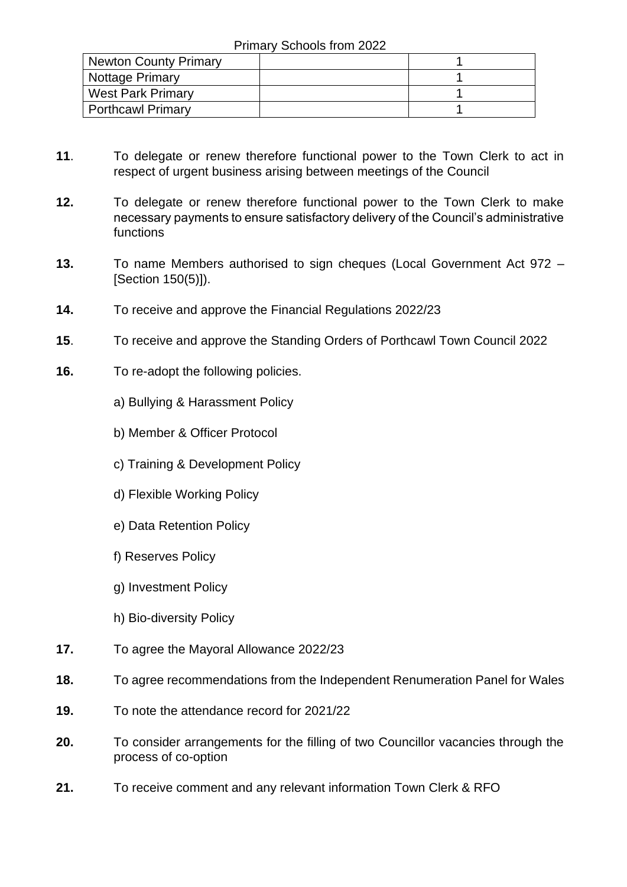| Newton County Primary    |  |
|--------------------------|--|
| Nottage Primary          |  |
| <b>West Park Primary</b> |  |
| <b>Porthcawl Primary</b> |  |

- **11**. To delegate or renew therefore functional power to the Town Clerk to act in respect of urgent business arising between meetings of the Council
- **12.** To delegate or renew therefore functional power to the Town Clerk to make necessary payments to ensure satisfactory delivery of the Council's administrative functions
- **13.** To name Members authorised to sign cheques (Local Government Act 972 [Section 150(5)]).
- **14.** To receive and approve the Financial Regulations 2022/23
- **15**. To receive and approve the Standing Orders of Porthcawl Town Council 2022
- **16.** To re-adopt the following policies.
	- a) Bullying & Harassment Policy
	- b) Member & Officer Protocol
	- c) Training & Development Policy
	- d) Flexible Working Policy
	- e) Data Retention Policy
	- f) Reserves Policy
	- g) Investment Policy
	- h) Bio-diversity Policy
- **17.** To agree the Mayoral Allowance 2022/23
- **18.** To agree recommendations from the Independent Renumeration Panel for Wales
- **19.** To note the attendance record for 2021/22
- **20.** To consider arrangements for the filling of two Councillor vacancies through the process of co-option
- **21.** To receive comment and any relevant information Town Clerk & RFO